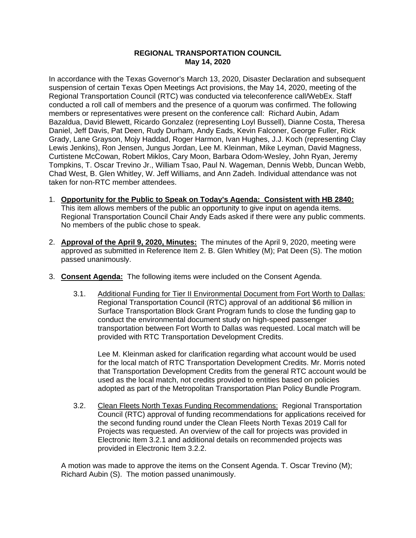## **REGIONAL TRANSPORTATION COUNCIL May 14, 2020**

In accordance with the Texas Governor's March 13, 2020, Disaster Declaration and subsequent suspension of certain Texas Open Meetings Act provisions, the May 14, 2020, meeting of the Regional Transportation Council (RTC) was conducted via teleconference call/WebEx. Staff conducted a roll call of members and the presence of a quorum was confirmed. The following members or representatives were present on the conference call: Richard Aubin, Adam Bazaldua, David Blewett, Ricardo Gonzalez (representing Loyl Bussell), Dianne Costa, Theresa Daniel, Jeff Davis, Pat Deen, Rudy Durham, Andy Eads, Kevin Falconer, George Fuller, Rick Grady, Lane Grayson, Mojy Haddad, Roger Harmon, Ivan Hughes, J.J. Koch (representing Clay Lewis Jenkins), Ron Jensen, Jungus Jordan, Lee M. Kleinman, Mike Leyman, David Magness, Curtistene McCowan, Robert Miklos, Cary Moon, Barbara Odom-Wesley, John Ryan, Jeremy Tompkins, T. Oscar Trevino Jr., William Tsao, Paul N. Wageman, Dennis Webb, Duncan Webb, Chad West, B. Glen Whitley, W. Jeff Williams, and Ann Zadeh. Individual attendance was not taken for non-RTC member attendees.

- 1. **Opportunity for the Public to Speak on Today's Agenda: Consistent with HB 2840:** This item allows members of the public an opportunity to give input on agenda items. Regional Transportation Council Chair Andy Eads asked if there were any public comments. No members of the public chose to speak.
- 2. **Approval of the April 9, 2020, Minutes:** The minutes of the April 9, 2020, meeting were approved as submitted in Reference Item 2. B. Glen Whitley (M); Pat Deen (S). The motion passed unanimously.
- 3. **Consent Agenda:** The following items were included on the Consent Agenda.
	- 3.1. Additional Funding for Tier II Environmental Document from Fort Worth to Dallas: Regional Transportation Council (RTC) approval of an additional \$6 million in Surface Transportation Block Grant Program funds to close the funding gap to conduct the environmental document study on high-speed passenger transportation between Fort Worth to Dallas was requested. Local match will be provided with RTC Transportation Development Credits.

Lee M. Kleinman asked for clarification regarding what account would be used for the local match of RTC Transportation Development Credits. Mr. Morris noted that Transportation Development Credits from the general RTC account would be used as the local match, not credits provided to entities based on policies adopted as part of the Metropolitan Transportation Plan Policy Bundle Program.

3.2. Clean Fleets North Texas Funding Recommendations: Regional Transportation Council (RTC) approval of funding recommendations for applications received for the second funding round under the Clean Fleets North Texas 2019 Call for Projects was requested. An overview of the call for projects was provided in Electronic Item 3.2.1 and additional details on recommended projects was provided in Electronic Item 3.2.2.

A motion was made to approve the items on the Consent Agenda. T. Oscar Trevino (M); Richard Aubin (S). The motion passed unanimously.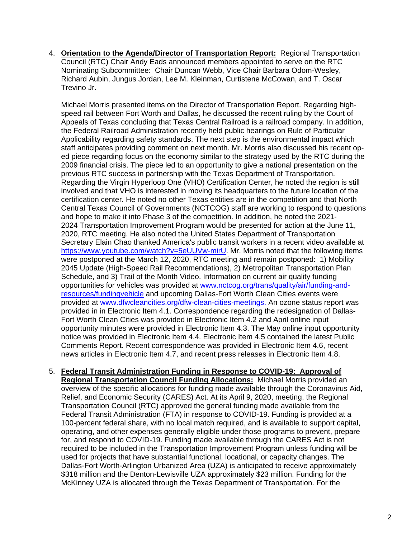4. **Orientation to the Agenda/Director of Transportation Report:** Regional Transportation Council (RTC) Chair Andy Eads announced members appointed to serve on the RTC Nominating Subcommittee: Chair Duncan Webb, Vice Chair Barbara Odom-Wesley, Richard Aubin, Jungus Jordan, Lee M. Kleinman, Curtistene McCowan, and T. Oscar Trevino Jr.

Michael Morris presented items on the Director of Transportation Report. Regarding highspeed rail between Fort Worth and Dallas, he discussed the recent ruling by the Court of Appeals of Texas concluding that Texas Central Railroad is a railroad company. In addition, the Federal Railroad Administration recently held public hearings on Rule of Particular Applicability regarding safety standards. The next step is the environmental impact which staff anticipates providing comment on next month. Mr. Morris also discussed his recent oped piece regarding focus on the economy similar to the strategy used by the RTC during the 2009 financial crisis. The piece led to an opportunity to give a national presentation on the previous RTC success in partnership with the Texas Department of Transportation. Regarding the Virgin Hyperloop One (VHO) Certification Center, he noted the region is still involved and that VHO is interested in moving its headquarters to the future location of the certification center. He noted no other Texas entities are in the competition and that North Central Texas Council of Governments (NCTCOG) staff are working to respond to questions and hope to make it into Phase 3 of the competition. In addition, he noted the 2021- 2024 Transportation Improvement Program would be presented for action at the June 11, 2020, RTC meeting. He also noted the United States Department of Transportation Secretary Elain Chao thanked America's public transit workers in a recent video available at [https://www.youtube.com/watch?v=5eUUVw-mirU.](https://www.youtube.com/watch?v=5eUUVw-mirU) Mr. Morris noted that the following items were postponed at the March 12, 2020, RTC meeting and remain postponed: 1) Mobility 2045 Update (High-Speed Rail Recommendations), 2) Metropolitan Transportation Plan Schedule, and 3) Trail of the Month Video. Information on current air quality funding opportunities for vehicles was provided at [www.nctcog.org/trans/quality/air/funding-and](http://www.nctcog.org/trans/quality/air/funding-and-resources/fundingvehicle)[resources/fundingvehicle](http://www.nctcog.org/trans/quality/air/funding-and-resources/fundingvehicle) and upcoming Dallas-Fort Worth Clean Cities events were provided at [www.dfwcleancities.org/dfw-clean-cities-meetings.](http://www.dfwcleancities.org/dfw-clean-cities-meetings) An ozone status report was provided in in Electronic Item 4.1. Correspondence regarding the redesignation of Dallas-Fort Worth Clean Cities was provided in Electronic Item 4.2 and April online input opportunity minutes were provided in Electronic Item 4.3. The May online input opportunity notice was provided in Electronic Item 4.4. Electronic Item 4.5 contained the latest Public Comments Report. Recent correspondence was provided in Electronic Item 4.6, recent news articles in Electronic Item 4.7, and recent press releases in Electronic Item 4.8.

5. **Federal Transit Administration Funding in Response to COVID-19: Approval of Regional Transportation Council Funding Allocations:** Michael Morris provided an overview of the specific allocations for funding made available through the Coronavirus Aid, Relief, and Economic Security (CARES) Act. At its April 9, 2020, meeting, the Regional Transportation Council (RTC) approved the general funding made available from the Federal Transit Administration (FTA) in response to COVID-19. Funding is provided at a 100-percent federal share, with no local match required, and is available to support capital, operating, and other expenses generally eligible under those programs to prevent, prepare for, and respond to COVID-19. Funding made available through the CARES Act is not required to be included in the Transportation Improvement Program unless funding will be used for projects that have substantial functional, locational, or capacity changes. The Dallas-Fort Worth-Arlington Urbanized Area (UZA) is anticipated to receive approximately \$318 million and the Denton-Lewisville UZA approximately \$23 million. Funding for the McKinney UZA is allocated through the Texas Department of Transportation. For the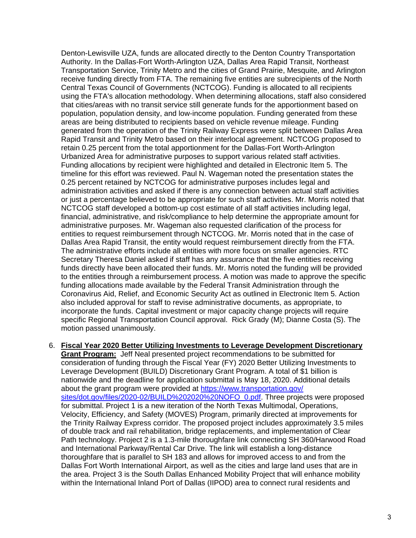Denton-Lewisville UZA, funds are allocated directly to the Denton Country Transportation Authority. In the Dallas-Fort Worth-Arlington UZA, Dallas Area Rapid Transit, Northeast Transportation Service, Trinity Metro and the cities of Grand Prairie, Mesquite, and Arlington receive funding directly from FTA. The remaining five entities are subrecipients of the North Central Texas Council of Governments (NCTCOG). Funding is allocated to all recipients using the FTA's allocation methodology. When determining allocations, staff also considered that cities/areas with no transit service still generate funds for the apportionment based on population, population density, and low-income population. Funding generated from these areas are being distributed to recipients based on vehicle revenue mileage. Funding generated from the operation of the Trinity Railway Express were split between Dallas Area Rapid Transit and Trinity Metro based on their interlocal agreement. NCTCOG proposed to retain 0.25 percent from the total apportionment for the Dallas-Fort Worth-Arlington Urbanized Area for administrative purposes to support various related staff activities. Funding allocations by recipient were highlighted and detailed in Electronic Item 5. The timeline for this effort was reviewed. Paul N. Wageman noted the presentation states the 0.25 percent retained by NCTCOG for administrative purposes includes legal and administration activities and asked if there is any connection between actual staff activities or just a percentage believed to be appropriate for such staff activities. Mr. Morris noted that NCTCOG staff developed a bottom-up cost estimate of all staff activities including legal, financial, administrative, and risk/compliance to help determine the appropriate amount for administrative purposes. Mr. Wageman also requested clarification of the process for entities to request reimbursement through NCTCOG. Mr. Morris noted that in the case of Dallas Area Rapid Transit, the entity would request reimbursement directly from the FTA. The administrative efforts include all entities with more focus on smaller agencies. RTC Secretary Theresa Daniel asked if staff has any assurance that the five entities receiving funds directly have been allocated their funds. Mr. Morris noted the funding will be provided to the entities through a reimbursement process. A motion was made to approve the specific funding allocations made available by the Federal Transit Administration through the Coronavirus Aid, Relief, and Economic Security Act as outlined in Electronic Item 5. Action also included approval for staff to revise administrative documents, as appropriate, to incorporate the funds. Capital investment or major capacity change projects will require specific Regional Transportation Council approval. Rick Grady (M); Dianne Costa (S). The motion passed unanimously.

6. **Fiscal Year 2020 Better Utilizing Investments to Leverage Development Discretionary Grant Program:** Jeff Neal presented project recommendations to be submitted for consideration of funding through the Fiscal Year (FY) 2020 Better Utilizing Investments to Leverage Development (BUILD) Discretionary Grant Program. A total of \$1 billion is nationwide and the deadline for application submittal is May 18, 2020. Additional details about the grant program were provided at [https://www.transportation.gov/](https://www.transportation.gov/sites/dot.gov/files/2020-02/BUILD%202020%20NOFO_0.pdf) [sites/dot.gov/files/2020-02/BUILD%202020%20NOFO\\_0.pdf.](https://www.transportation.gov/sites/dot.gov/files/2020-02/BUILD%202020%20NOFO_0.pdf) Three projects were proposed for submittal. Project 1 is a new iteration of the North Texas Multimodal, Operations, Velocity, Efficiency, and Safety (MOVES) Program, primarily directed at improvements for the Trinity Railway Express corridor. The proposed project includes approximately 3.5 miles of double track and rail rehabilitation, bridge replacements, and implementation of Clear Path technology. Project 2 is a 1.3-mile thoroughfare link connecting SH 360/Harwood Road and International Parkway/Rental Car Drive. The link will establish a long-distance thoroughfare that is parallel to SH 183 and allows for improved access to and from the Dallas Fort Worth International Airport, as well as the cities and large land uses that are in the area. Project 3 is the South Dallas Enhanced Mobility Project that will enhance mobility within the International Inland Port of Dallas (IIPOD) area to connect rural residents and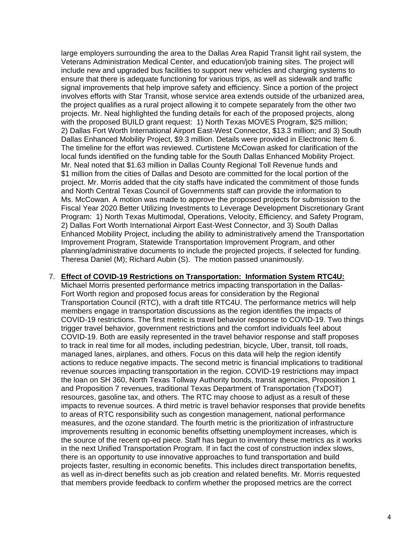large employers surrounding the area to the Dallas Area Rapid Transit light rail system, the Veterans Administration Medical Center, and education/job training sites. The project will include new and upgraded bus facilities to support new vehicles and charging systems to ensure that there is adequate functioning for various trips, as well as sidewalk and traffic signal improvements that help improve safety and efficiency. Since a portion of the project involves efforts with Star Transit, whose service area extends outside of the urbanized area, the project qualifies as a rural project allowing it to compete separately from the other two projects. Mr. Neal highlighted the funding details for each of the proposed projects, along with the proposed BUILD grant request: 1) North Texas MOVES Program, \$25 million; 2) Dallas Fort Worth International Airport East-West Connector, \$13.3 million; and 3) South Dallas Enhanced Mobility Project, \$9.3 million. Details were provided in Electronic Item 6. The timeline for the effort was reviewed. Curtistene McCowan asked for clarification of the local funds identified on the funding table for the South Dallas Enhanced Mobility Project. Mr. Neal noted that \$1.63 million in Dallas County Regional Toll Revenue funds and \$1 million from the cities of Dallas and Desoto are committed for the local portion of the project. Mr. Morris added that the city staffs have indicated the commitment of those funds and North Central Texas Council of Governments staff can provide the information to Ms. McCowan. A motion was made to approve the proposed projects for submission to the Fiscal Year 2020 Better Utilizing Investments to Leverage Development Discretionary Grant Program: 1) North Texas Multimodal, Operations, Velocity, Efficiency, and Safety Program, 2) Dallas Fort Worth International Airport East-West Connector, and 3) South Dallas Enhanced Mobility Project, including the ability to administratively amend the Transportation Improvement Program, Statewide Transportation Improvement Program, and other planning/administrative documents to include the projected projects, if selected for funding. Theresa Daniel (M); Richard Aubin (S). The motion passed unanimously.

## 7. **Effect of COVID-19 Restrictions on Transportation: Information System RTC4U:**

Michael Morris presented performance metrics impacting transportation in the Dallas-Fort Worth region and proposed focus areas for consideration by the Regional Transportation Council (RTC), with a draft title RTC4U. The performance metrics will help members engage in transportation discussions as the region identifies the impacts of COVID-19 restrictions. The first metric is travel behavior response to COVID-19. Two things trigger travel behavior, government restrictions and the comfort individuals feel about COVID-19. Both are easily represented in the travel behavior response and staff proposes to track in real time for all modes, including pedestrian, bicycle, Uber, transit, toll roads, managed lanes, airplanes, and others. Focus on this data will help the region identify actions to reduce negative impacts. The second metric is financial implications to traditional revenue sources impacting transportation in the region. COVID-19 restrictions may impact the loan on SH 360, North Texas Tollway Authority bonds, transit agencies, Proposition 1 and Proposition 7 revenues, traditional Texas Department of Transportation (TxDOT) resources, gasoline tax, and others. The RTC may choose to adjust as a result of these impacts to revenue sources. A third metric is travel behavior responses that provide benefits to areas of RTC responsibility such as congestion management, national performance measures, and the ozone standard. The fourth metric is the prioritization of infrastructure improvements resulting in economic benefits offsetting unemployment increases, which is the source of the recent op-ed piece. Staff has begun to inventory these metrics as it works in the next Unified Transportation Program. If in fact the cost of construction index slows, there is an opportunity to use innovative approaches to fund transportation and build projects faster, resulting in economic benefits. This includes direct transportation benefits, as well as in-direct benefits such as job creation and related benefits. Mr. Morris requested that members provide feedback to confirm whether the proposed metrics are the correct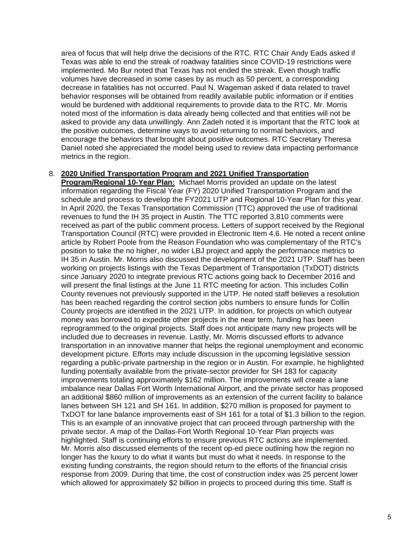area of focus that will help drive the decisions of the RTC. RTC Chair Andy Eads asked if Texas was able to end the streak of roadway fatalities since COVID-19 restrictions were implemented. Mo Bur noted that Texas has not ended the streak. Even though traffic volumes have decreased in some cases by as much as 50 percent, a corresponding decrease in fatalities has not occurred. Paul N. Wageman asked if data related to travel behavior responses will be obtained from readily available public information or if entities would be burdened with additional requirements to provide data to the RTC. Mr. Morris noted most of the information is data already being collected and that entities will not be asked to provide any data unwillingly. Ann Zadeh noted it is important that the RTC look at the positive outcomes, determine ways to avoid returning to normal behaviors, and encourage the behaviors that brought about positive outcomes. RTC Secretary Theresa Daniel noted she appreciated the model being used to review data impacting performance metrics in the region.

## 8. **2020 Unified Transportation Program and 2021 Unified Transportation**

**Program/Regional 10-Year Plan:** Michael Morris provided an update on the latest information regarding the Fiscal Year (FY) 2020 Unified Transportation Program and the schedule and process to develop the FY2021 UTP and Regional 10-Year Plan for this year. In April 2020, the Texas Transportation Commission (TTC) approved the use of traditional revenues to fund the IH 35 project in Austin. The TTC reported 3,810 comments were received as part of the public comment process. Letters of support received by the Regional Transportation Council (RTC) were provided in Electronic Item 4.6. He noted a recent online article by Robert Poole from the Reason Foundation who was complementary of the RTC's position to take the no higher, no wider LBJ project and apply the performance metrics to IH 35 in Austin. Mr. Morris also discussed the development of the 2021 UTP. Staff has been working on projects listings with the Texas Department of Transportation (TxDOT) districts since January 2020 to integrate previous RTC actions going back to December 2016 and will present the final listings at the June 11 RTC meeting for action. This includes Collin County revenues not previously supported in the UTP. He noted staff believes a resolution has been reached regarding the control section jobs numbers to ensure funds for Collin County projects are identified in the 2021 UTP. In addition, for projects on which outyear money was borrowed to expedite other projects in the near term, funding has been reprogrammed to the original projects. Staff does not anticipate many new projects will be included due to decreases in revenue. Lastly, Mr. Morris discussed efforts to advance transportation in an innovative manner that helps the regional unemployment and economic development picture. Efforts may include discussion in the upcoming legislative session regarding a public-private partnership in the region or in Austin. For example, he highlighted funding potentially available from the private-sector provider for SH 183 for capacity improvements totaling approximately \$162 million. The improvements will create a lane imbalance near Dallas Fort Worth International Airport, and the private sector has proposed an additional \$860 million of improvements as an extension of the current facility to balance lanes between SH 121 and SH 161. In addition, \$270 million is proposed for payment to TxDOT for lane balance improvements east of SH 161 for a total of \$1.3 billion to the region. This is an example of an innovative project that can proceed through partnership with the private sector. A map of the Dallas-Fort Worth Regional 10-Year Plan projects was highlighted. Staff is continuing efforts to ensure previous RTC actions are implemented. Mr. Morris also discussed elements of the recent op-ed piece outlining how the region no longer has the luxury to do what it wants but must do what it needs. In response to the existing funding constraints, the region should return to the efforts of the financial crisis response from 2009. During that time, the cost of construction index was 25 percent lower which allowed for approximately \$2 billion in projects to proceed during this time. Staff is